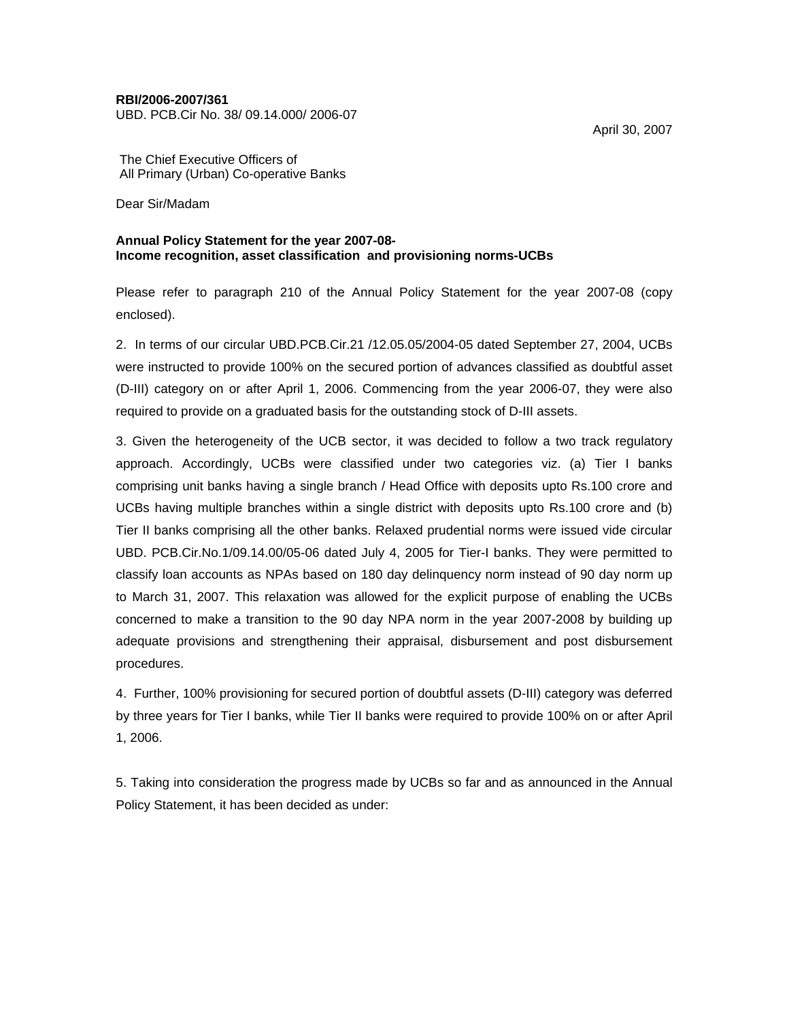### **RBI/2006-2007/361**

UBD. PCB.Cir No. 38/ 09.14.000/ 2006-07

April 30, 2007

The Chief Executive Officers of All Primary (Urban) Co-operative Banks

Dear Sir/Madam

### **Annual Policy Statement for the year 2007-08- Income recognition, asset classification and provisioning norms-UCBs**

Please refer to paragraph 210 of the Annual Policy Statement for the year 2007-08 (copy enclosed).

2. In terms of our circular UBD.PCB.Cir.21 /12.05.05/2004-05 dated September 27, 2004, UCBs were instructed to provide 100% on the secured portion of advances classified as doubtful asset (D-III) category on or after April 1, 2006. Commencing from the year 2006-07, they were also required to provide on a graduated basis for the outstanding stock of D-III assets.

3. Given the heterogeneity of the UCB sector, it was decided to follow a two track regulatory approach. Accordingly, UCBs were classified under two categories viz. (a) Tier I banks comprising unit banks having a single branch / Head Office with deposits upto Rs.100 crore and UCBs having multiple branches within a single district with deposits upto Rs.100 crore and (b) Tier II banks comprising all the other banks. Relaxed prudential norms were issued vide circular UBD. PCB.Cir.No.1/09.14.00/05-06 dated July 4, 2005 for Tier-I banks. They were permitted to classify loan accounts as NPAs based on 180 day delinquency norm instead of 90 day norm up to March 31, 2007. This relaxation was allowed for the explicit purpose of enabling the UCBs concerned to make a transition to the 90 day NPA norm in the year 2007-2008 by building up adequate provisions and strengthening their appraisal, disbursement and post disbursement procedures.

4. Further, 100% provisioning for secured portion of doubtful assets (D-III) category was deferred by three years for Tier I banks, while Tier II banks were required to provide 100% on or after April 1, 2006.

5. Taking into consideration the progress made by UCBs so far and as announced in the Annual Policy Statement, it has been decided as under: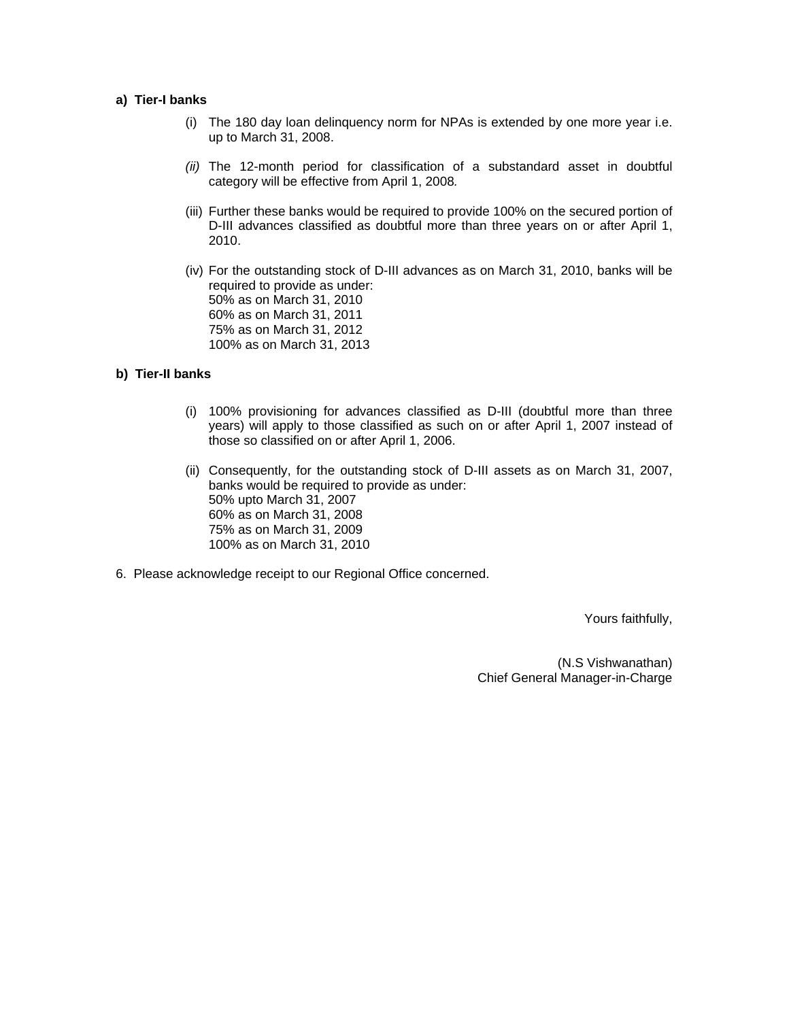### **a) Tier-I banks**

- (i) The 180 day loan delinquency norm for NPAs is extended by one more year i.e. up to March 31, 2008.
- *(ii)* The 12-month period for classification of a substandard asset in doubtful category will be effective from April 1, 2008*.*
- (iii) Further these banks would be required to provide 100% on the secured portion of D-III advances classified as doubtful more than three years on or after April 1, 2010.
- (iv) For the outstanding stock of D-III advances as on March 31, 2010, banks will be required to provide as under: 50% as on March 31, 2010 60% as on March 31, 2011 75% as on March 31, 2012 100% as on March 31, 2013

# **b) Tier-II banks**

- (i) 100% provisioning for advances classified as D-III (doubtful more than three years) will apply to those classified as such on or after April 1, 2007 instead of those so classified on or after April 1, 2006.
- (ii) Consequently, for the outstanding stock of D-III assets as on March 31, 2007, banks would be required to provide as under: 50% upto March 31, 2007 60% as on March 31, 2008 75% as on March 31, 2009 100% as on March 31, 2010
- 6. Please acknowledge receipt to our Regional Office concerned.

Yours faithfully,

(N.S Vishwanathan) Chief General Manager-in-Charge